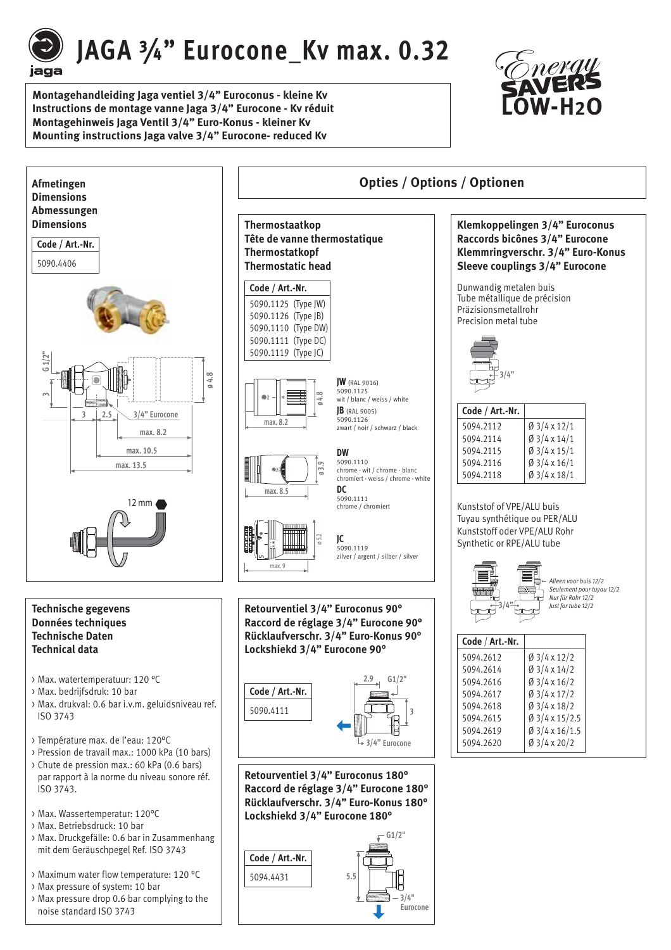

# JAGA 3/4" Eurocone Kv max. 0.32

**Montagehandleiding Jaga ventiel 3/4" Euroconus - kleine Kv Instructions de montage vanne Jaga 3/4" Eurocone - Kv réduit Montagehinweis Jaga Ventil 3/4" Euro-Konus - kleiner Kv Mounting instructions Jaga valve 3/4" Eurocone- reduced Kv**